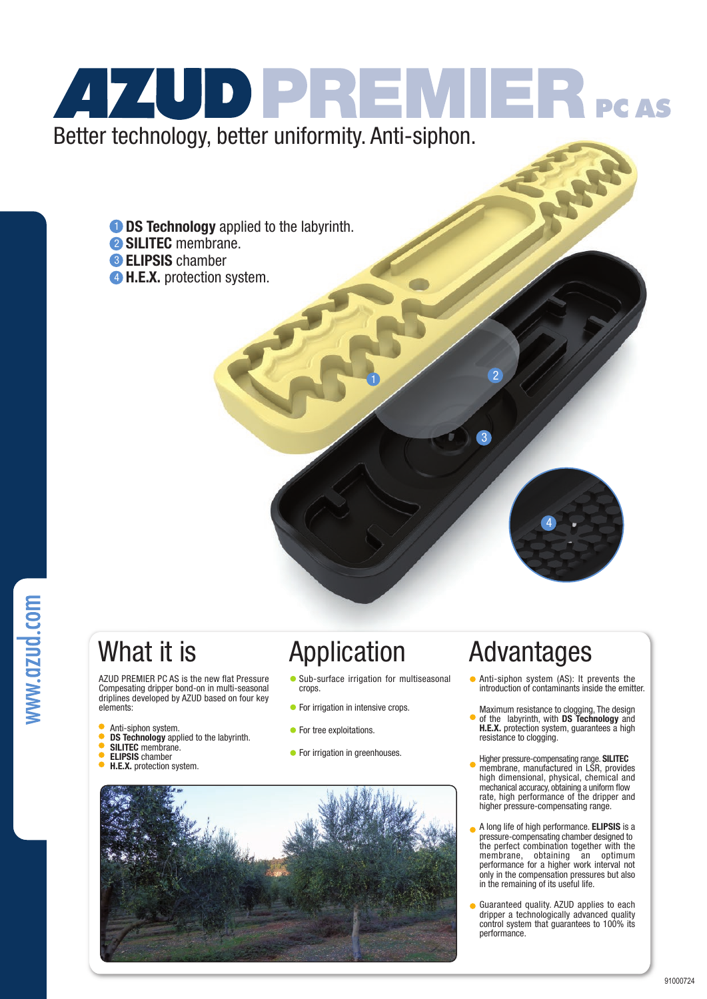# **474UD PREMIER** PCAS Better technology, better uniformity. Anti-siphon.

**D** DS Technology applied to the labyrinth.

- 2 SILITEC membrane.
- **B ELIPSIS** chamber
- 4 H.E.X. protection system.

AZUD PREMIER PC AS is the new flat Pressure Compesating dripper bond-on in multi-seasonal driplines developed by AZUD based on four key elements:

- Anti-siphon system.
- DS Technology applied to the labyrinth.
- SILITEC membrane.
- ELIPSIS chamber
- H.E.X. protection system.

- Sub-surface irrigation for multiseasonal crops.
- **•** For irrigation in intensive crops.
- **•** For tree exploitations.
- **•** For irrigation in greenhouses.



## What it is **Application** Advantages

2

3

Anti-siphon system (AS): It prevents the introduction of contaminants inside the emitter.

4

- Maximum resistance to clogging, The design of the labyrinth, with DS Technology and H.E.X. protection system, guarantees a high resistance to clogging.
- Higher pressure-compensating range. SILITEC membrane, manufactured in LSR, provides high dimensional, physical, chemical and mechanical accuracy, obtaining a uniform flow rate, high performance of the dripper and higher pressure-compensating range.
- A long life of high performance. ELIPSIS is a pressure-compensating chamber designed to the perfect combination together with the membrane, obtaining an optimum performance for a higher work interval not only in the compensation pressures but also in the remaining of its useful life.
- Guaranteed quality. AZUD applies to each dripper a technologically advanced quality control system that guarantees to 100% its performance.

91000724